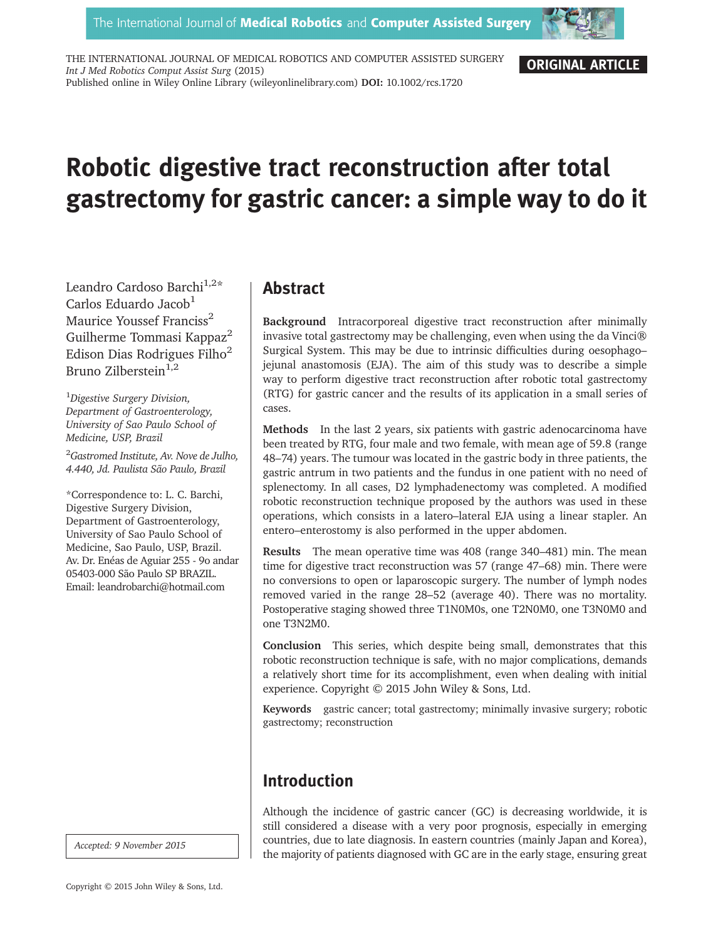

ORIGINAL ARTICLE

THE INTERNATIONAL JOURNAL OF MEDICAL ROBOTICS AND COMPUTER ASSISTED SURGERY Int J Med Robotics Comput Assist Surg (2015) Published online in Wiley Online Library (wileyonlinelibrary.com) DOI: 10.1002/rcs.1720

# Robotic digestive tract reconstruction after total gastrectomy for gastric cancer: a simple way to do it

Leandro Cardoso Barchi<sup>1,2\*</sup> Carlos Eduardo Jacob $<sup>1</sup>$ </sup> Maurice Youssef Franciss<sup>2</sup> Guilherme Tommasi Kappaz<sup>2</sup> Edison Dias Rodrigues Filho<sup>2</sup> Bruno Zilberstein $1,2$ 

<sup>1</sup>Digestive Surgery Division, Department of Gastroenterology, University of Sao Paulo School of Medicine, USP, Brazil

<sup>2</sup>Gastromed Institute, Av. Nove de Julho, 4.440, Jd. Paulista São Paulo, Brazil

\*Correspondence to: L. C. Barchi, Digestive Surgery Division, Department of Gastroenterology, University of Sao Paulo School of Medicine, Sao Paulo, USP, Brazil. Av. Dr. Enéas de Aguiar 255 - 9o andar 05403-000 São Paulo SP BRAZIL. Email: leandrobarchi@hotmail.com

Accepted: 9 November 2015

## Abstract

Background Intracorporeal digestive tract reconstruction after minimally invasive total gastrectomy may be challenging, even when using the da Vinci® Surgical System. This may be due to intrinsic difficulties during oesophago– jejunal anastomosis (EJA). The aim of this study was to describe a simple way to perform digestive tract reconstruction after robotic total gastrectomy (RTG) for gastric cancer and the results of its application in a small series of cases.

Methods In the last 2 years, six patients with gastric adenocarcinoma have been treated by RTG, four male and two female, with mean age of 59.8 (range 48–74) years. The tumour was located in the gastric body in three patients, the gastric antrum in two patients and the fundus in one patient with no need of splenectomy. In all cases, D2 lymphadenectomy was completed. A modified robotic reconstruction technique proposed by the authors was used in these operations, which consists in a latero–lateral EJA using a linear stapler. An entero–enterostomy is also performed in the upper abdomen.

Results The mean operative time was 408 (range 340–481) min. The mean time for digestive tract reconstruction was 57 (range 47–68) min. There were no conversions to open or laparoscopic surgery. The number of lymph nodes removed varied in the range 28–52 (average 40). There was no mortality. Postoperative staging showed three T1N0M0s, one T2N0M0, one T3N0M0 and one T3N2M0.

Conclusion This series, which despite being small, demonstrates that this robotic reconstruction technique is safe, with no major complications, demands a relatively short time for its accomplishment, even when dealing with initial experience. Copyright © 2015 John Wiley & Sons, Ltd.

Keywords gastric cancer; total gastrectomy; minimally invasive surgery; robotic gastrectomy; reconstruction

## Introduction

Although the incidence of gastric cancer (GC) is decreasing worldwide, it is still considered a disease with a very poor prognosis, especially in emerging countries, due to late diagnosis. In eastern countries (mainly Japan and Korea), the majority of patients diagnosed with GC are in the early stage, ensuring great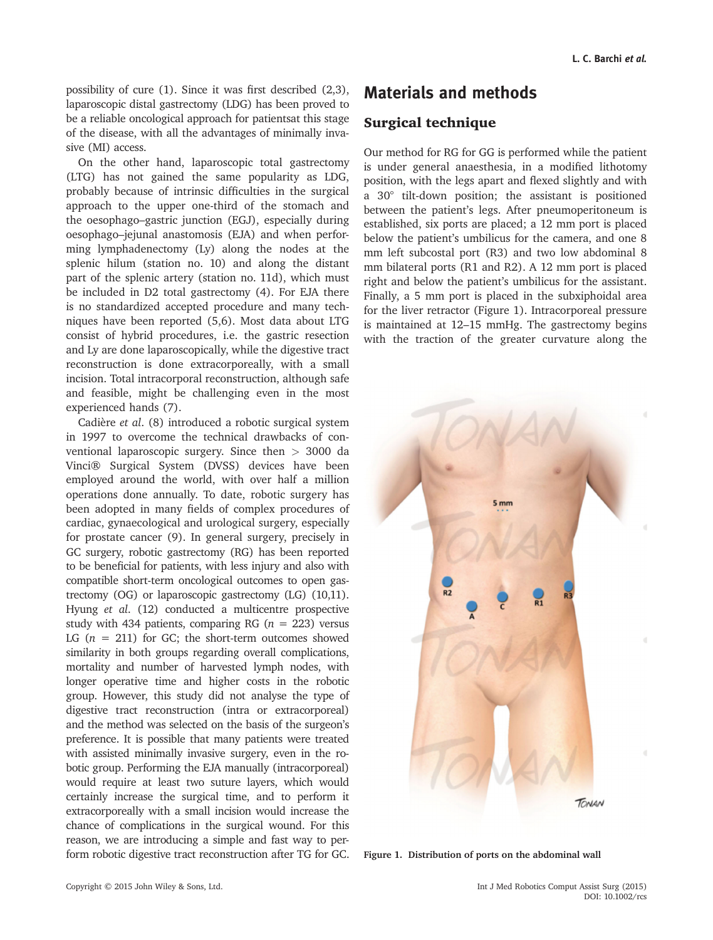possibility of cure (1). Since it was first described (2,3), laparoscopic distal gastrectomy (LDG) has been proved to be a reliable oncological approach for patientsat this stage of the disease, with all the advantages of minimally invasive (MI) access.

On the other hand, laparoscopic total gastrectomy (LTG) has not gained the same popularity as LDG, probably because of intrinsic difficulties in the surgical approach to the upper one-third of the stomach and the oesophago–gastric junction (EGJ), especially during oesophago–jejunal anastomosis (EJA) and when performing lymphadenectomy (Ly) along the nodes at the splenic hilum (station no. 10) and along the distant part of the splenic artery (station no. 11d), which must be included in D2 total gastrectomy (4). For EJA there is no standardized accepted procedure and many techniques have been reported (5,6). Most data about LTG consist of hybrid procedures, i.e. the gastric resection and Ly are done laparoscopically, while the digestive tract reconstruction is done extracorporeally, with a small incision. Total intracorporal reconstruction, although safe and feasible, might be challenging even in the most experienced hands (7).

Cadière et al. (8) introduced a robotic surgical system in 1997 to overcome the technical drawbacks of conventional laparoscopic surgery. Since then > 3000 da Vinci® Surgical System (DVSS) devices have been employed around the world, with over half a million operations done annually. To date, robotic surgery has been adopted in many fields of complex procedures of cardiac, gynaecological and urological surgery, especially for prostate cancer (9). In general surgery, precisely in GC surgery, robotic gastrectomy (RG) has been reported to be beneficial for patients, with less injury and also with compatible short-term oncological outcomes to open gastrectomy (OG) or laparoscopic gastrectomy (LG) (10,11). Hyung et al. (12) conducted a multicentre prospective study with 434 patients, comparing RG ( $n = 223$ ) versus LG  $(n = 211)$  for GC; the short-term outcomes showed similarity in both groups regarding overall complications, mortality and number of harvested lymph nodes, with longer operative time and higher costs in the robotic group. However, this study did not analyse the type of digestive tract reconstruction (intra or extracorporeal) and the method was selected on the basis of the surgeon's preference. It is possible that many patients were treated with assisted minimally invasive surgery, even in the robotic group. Performing the EJA manually (intracorporeal) would require at least two suture layers, which would certainly increase the surgical time, and to perform it extracorporeally with a small incision would increase the chance of complications in the surgical wound. For this reason, we are introducing a simple and fast way to perform robotic digestive tract reconstruction after TG for GC.

## Materials and methods

### Surgical technique

Our method for RG for GG is performed while the patient is under general anaesthesia, in a modified lithotomy position, with the legs apart and flexed slightly and with a 30° tilt-down position; the assistant is positioned between the patient's legs. After pneumoperitoneum is established, six ports are placed; a 12 mm port is placed below the patient's umbilicus for the camera, and one 8 mm left subcostal port (R3) and two low abdominal 8 mm bilateral ports (R1 and R2). A 12 mm port is placed right and below the patient's umbilicus for the assistant. Finally, a 5 mm port is placed in the subxiphoidal area for the liver retractor (Figure 1). Intracorporeal pressure is maintained at 12–15 mmHg. The gastrectomy begins with the traction of the greater curvature along the



Figure 1. Distribution of ports on the abdominal wall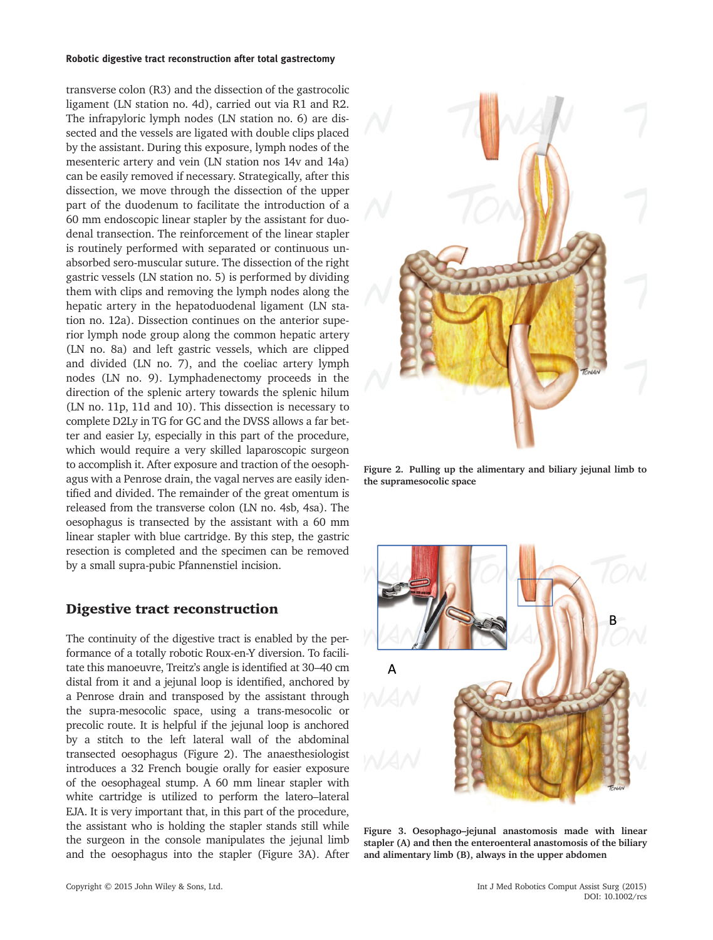#### Robotic digestive tract reconstruction after total gastrectomy

transverse colon (R3) and the dissection of the gastrocolic ligament (LN station no. 4d), carried out via R1 and R2. The infrapyloric lymph nodes (LN station no. 6) are dissected and the vessels are ligated with double clips placed by the assistant. During this exposure, lymph nodes of the mesenteric artery and vein (LN station nos 14v and 14a) can be easily removed if necessary. Strategically, after this dissection, we move through the dissection of the upper part of the duodenum to facilitate the introduction of a 60 mm endoscopic linear stapler by the assistant for duodenal transection. The reinforcement of the linear stapler is routinely performed with separated or continuous unabsorbed sero-muscular suture. The dissection of the right gastric vessels (LN station no. 5) is performed by dividing them with clips and removing the lymph nodes along the hepatic artery in the hepatoduodenal ligament (LN station no. 12a). Dissection continues on the anterior superior lymph node group along the common hepatic artery (LN no. 8a) and left gastric vessels, which are clipped and divided (LN no. 7), and the coeliac artery lymph nodes (LN no. 9). Lymphadenectomy proceeds in the direction of the splenic artery towards the splenic hilum (LN no. 11p, 11d and 10). This dissection is necessary to complete D2Ly in TG for GC and the DVSS allows a far better and easier Ly, especially in this part of the procedure, which would require a very skilled laparoscopic surgeon to accomplish it. After exposure and traction of the oesophagus with a Penrose drain, the vagal nerves are easily identified and divided. The remainder of the great omentum is released from the transverse colon (LN no. 4sb, 4sa). The oesophagus is transected by the assistant with a 60 mm linear stapler with blue cartridge. By this step, the gastric resection is completed and the specimen can be removed by a small supra-pubic Pfannenstiel incision.

#### Digestive tract reconstruction

The continuity of the digestive tract is enabled by the performance of a totally robotic Roux-en-Y diversion. To facilitate this manoeuvre, Treitz's angle is identified at 30–40 cm distal from it and a jejunal loop is identified, anchored by a Penrose drain and transposed by the assistant through the supra-mesocolic space, using a trans-mesocolic or precolic route. It is helpful if the jejunal loop is anchored by a stitch to the left lateral wall of the abdominal transected oesophagus (Figure 2). The anaesthesiologist introduces a 32 French bougie orally for easier exposure of the oesophageal stump. A 60 mm linear stapler with white cartridge is utilized to perform the latero–lateral EJA. It is very important that, in this part of the procedure, the assistant who is holding the stapler stands still while the surgeon in the console manipulates the jejunal limb and the oesophagus into the stapler (Figure 3A). After



Figure 2. Pulling up the alimentary and biliary jejunal limb to the supramesocolic space



Figure 3. Oesophago–jejunal anastomosis made with linear stapler (A) and then the enteroenteral anastomosis of the biliary and alimentary limb (B), always in the upper abdomen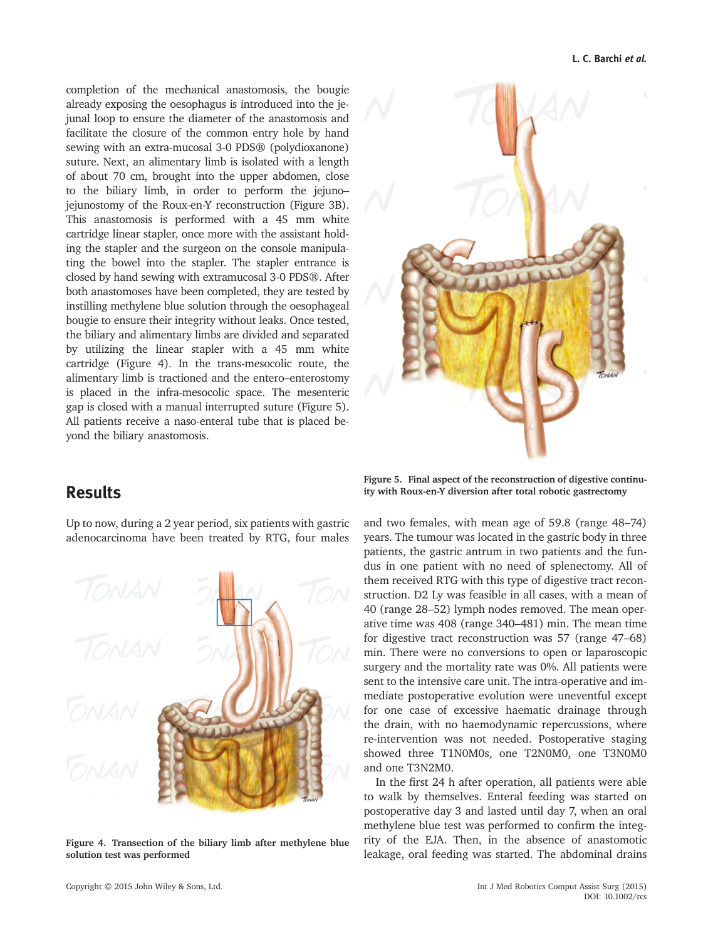completion of the mechanical anastomosis, the bougie already exposing the oesophagus is introduced into the jejunal loop to ensure the diameter of the anastomosis and facilitate the closure of the common entry hole by hand sewing with an extra-mucosal 3-0 PDS® (polydioxanone) suture. Next, an alimentary limb is isolated with a length of about 70 cm, brought into the upper abdomen, close to the biliary limb, in order to perform the jejuno– jejunostomy of the Roux-en-Y reconstruction (Figure 3B). This anastomosis is performed with a 45 mm white cartridge linear stapler, once more with the assistant holding the stapler and the surgeon on the console manipulating the bowel into the stapler. The stapler entrance is closed by hand sewing with extramucosal 3-0 PDS®. After both anastomoses have been completed, they are tested by instilling methylene blue solution through the oesophageal bougie to ensure their integrity without leaks. Once tested, the biliary and alimentary limbs are divided and separated by utilizing the linear stapler with a 45 mm white cartridge (Figure 4). In the trans-mesocolic route, the alimentary limb is tractioned and the entero–enterostomy is placed in the infra-mesocolic space. The mesenteric gap is closed with a manual interrupted suture (Figure 5). All patients receive a naso-enteral tube that is placed beyond the biliary anastomosis.

## Results

Up to now, during a 2 year period, six patients with gastric adenocarcinoma have been treated by RTG, four males



Figure 4. Transection of the biliary limb after methylene blue solution test was performed



Figure 5. Final aspect of the reconstruction of digestive continuity with Roux-en-Y diversion after total robotic gastrectomy

and two females, with mean age of 59.8 (range 48–74) years. The tumour was located in the gastric body in three patients, the gastric antrum in two patients and the fundus in one patient with no need of splenectomy. All of them received RTG with this type of digestive tract reconstruction. D2 Ly was feasible in all cases, with a mean of 40 (range 28–52) lymph nodes removed. The mean operative time was 408 (range 340–481) min. The mean time for digestive tract reconstruction was 57 (range 47–68) min. There were no conversions to open or laparoscopic surgery and the mortality rate was 0%. All patients were sent to the intensive care unit. The intra-operative and immediate postoperative evolution were uneventful except for one case of excessive haematic drainage through the drain, with no haemodynamic repercussions, where re-intervention was not needed. Postoperative staging showed three T1N0M0s, one T2N0M0, one T3N0M0 and one T3N2M0.

In the first 24 h after operation, all patients were able to walk by themselves. Enteral feeding was started on postoperative day 3 and lasted until day 7, when an oral methylene blue test was performed to confirm the integrity of the EJA. Then, in the absence of anastomotic leakage, oral feeding was started. The abdominal drains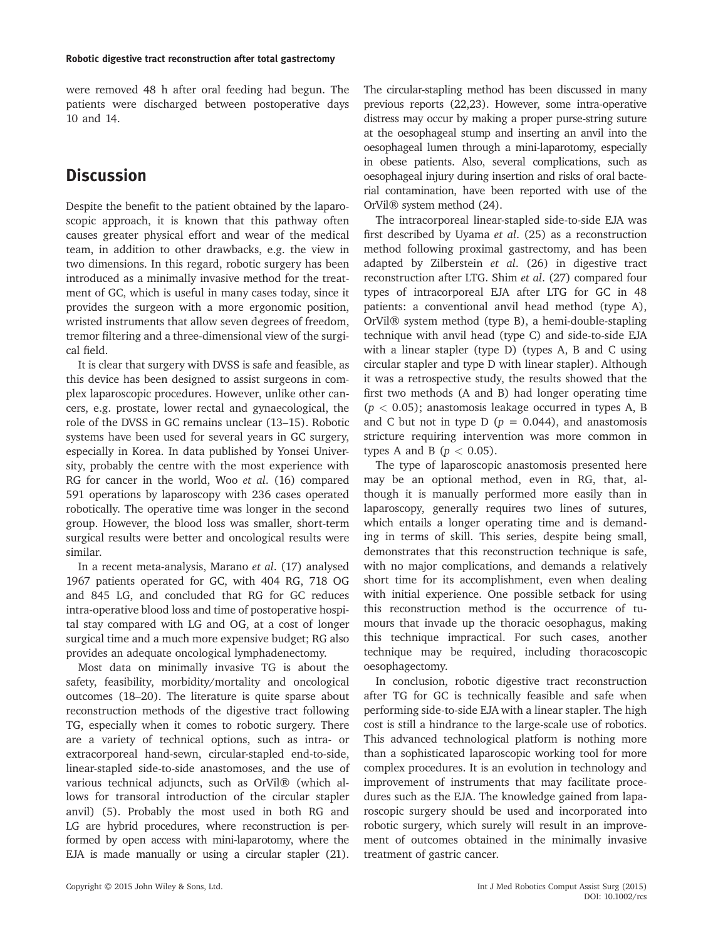were removed 48 h after oral feeding had begun. The patients were discharged between postoperative days 10 and 14.

## **Discussion**

Despite the benefit to the patient obtained by the laparoscopic approach, it is known that this pathway often causes greater physical effort and wear of the medical team, in addition to other drawbacks, e.g. the view in two dimensions. In this regard, robotic surgery has been introduced as a minimally invasive method for the treatment of GC, which is useful in many cases today, since it provides the surgeon with a more ergonomic position, wristed instruments that allow seven degrees of freedom, tremor filtering and a three-dimensional view of the surgical field.

It is clear that surgery with DVSS is safe and feasible, as this device has been designed to assist surgeons in complex laparoscopic procedures. However, unlike other cancers, e.g. prostate, lower rectal and gynaecological, the role of the DVSS in GC remains unclear (13–15). Robotic systems have been used for several years in GC surgery, especially in Korea. In data published by Yonsei University, probably the centre with the most experience with RG for cancer in the world, Woo et al. (16) compared 591 operations by laparoscopy with 236 cases operated robotically. The operative time was longer in the second group. However, the blood loss was smaller, short-term surgical results were better and oncological results were similar.

In a recent meta-analysis, Marano et al. (17) analysed 1967 patients operated for GC, with 404 RG, 718 OG and 845 LG, and concluded that RG for GC reduces intra-operative blood loss and time of postoperative hospital stay compared with LG and OG, at a cost of longer surgical time and a much more expensive budget; RG also provides an adequate oncological lymphadenectomy.

Most data on minimally invasive TG is about the safety, feasibility, morbidity/mortality and oncological outcomes (18–20). The literature is quite sparse about reconstruction methods of the digestive tract following TG, especially when it comes to robotic surgery. There are a variety of technical options, such as intra- or extracorporeal hand-sewn, circular-stapled end-to-side, linear-stapled side-to-side anastomoses, and the use of various technical adjuncts, such as OrVil® (which allows for transoral introduction of the circular stapler anvil) (5). Probably the most used in both RG and LG are hybrid procedures, where reconstruction is performed by open access with mini-laparotomy, where the EJA is made manually or using a circular stapler (21).

The circular-stapling method has been discussed in many previous reports (22,23). However, some intra-operative distress may occur by making a proper purse-string suture at the oesophageal stump and inserting an anvil into the oesophageal lumen through a mini-laparotomy, especially in obese patients. Also, several complications, such as oesophageal injury during insertion and risks of oral bacterial contamination, have been reported with use of the OrVil® system method (24).

The intracorporeal linear-stapled side-to-side EJA was first described by Uyama et al. (25) as a reconstruction method following proximal gastrectomy, and has been adapted by Zilberstein et al. (26) in digestive tract reconstruction after LTG. Shim et al. (27) compared four types of intracorporeal EJA after LTG for GC in 48 patients: a conventional anvil head method (type A), OrVil® system method (type B), a hemi-double-stapling technique with anvil head (type C) and side-to-side EJA with a linear stapler (type D) (types A, B and C using circular stapler and type D with linear stapler). Although it was a retrospective study, the results showed that the first two methods (A and B) had longer operating time  $(p < 0.05)$ ; anastomosis leakage occurred in types A, B and C but not in type D ( $p = 0.044$ ), and anastomosis stricture requiring intervention was more common in types A and B ( $p < 0.05$ ).

The type of laparoscopic anastomosis presented here may be an optional method, even in RG, that, although it is manually performed more easily than in laparoscopy, generally requires two lines of sutures, which entails a longer operating time and is demanding in terms of skill. This series, despite being small, demonstrates that this reconstruction technique is safe, with no major complications, and demands a relatively short time for its accomplishment, even when dealing with initial experience. One possible setback for using this reconstruction method is the occurrence of tumours that invade up the thoracic oesophagus, making this technique impractical. For such cases, another technique may be required, including thoracoscopic oesophagectomy.

In conclusion, robotic digestive tract reconstruction after TG for GC is technically feasible and safe when performing side-to-side EJA with a linear stapler. The high cost is still a hindrance to the large-scale use of robotics. This advanced technological platform is nothing more than a sophisticated laparoscopic working tool for more complex procedures. It is an evolution in technology and improvement of instruments that may facilitate procedures such as the EJA. The knowledge gained from laparoscopic surgery should be used and incorporated into robotic surgery, which surely will result in an improvement of outcomes obtained in the minimally invasive treatment of gastric cancer.